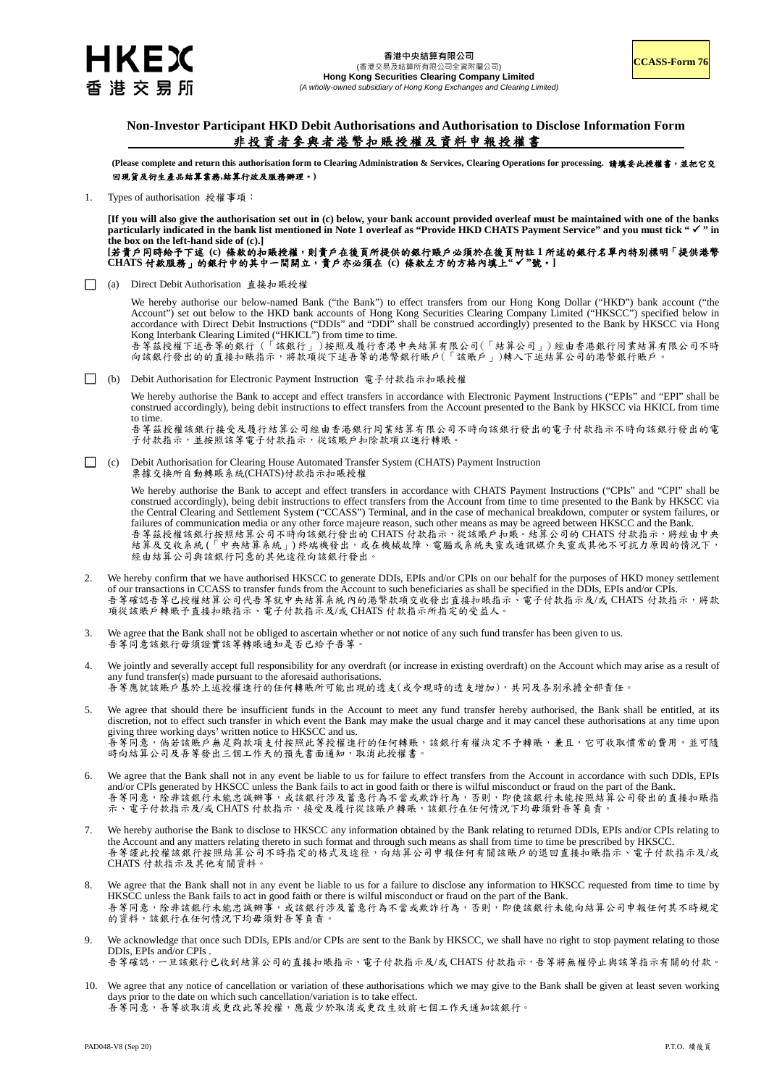

## **Non-Investor Participant HKD Debit Authorisations and Authorisation to Disclose Information Form** 非投資者參與者港幣扣賬授權及資料申報授權書

**(Please complete and return this authorisation form to Clearing Administration & Services, Clearing Operations for processing.** 請填妥此授權書,並把它交 回現貨及衍生產品結算業務**,**結算行政及服務辦理。**)** 

1. Types of authorisation 授權事項:

**[If you will also give the authorisation set out in (c) below, your bank account provided overleaf must be maintained with one of the banks particularly indicated in the bank list mentioned in Note 1 overleaf as "Provide HKD CHATS Payment Service" and you must tick " " in the box on the left-hand side of (c).]** 

**[**若貴戶同時給予下述 **(c)** 條款的扣賬授權,則貴戶在後頁所提供的銀行賬戶必須於在後頁附註 **1** 所述的銀行名單內特別標明「提供港幣 **CHATS** 付款服務」的銀行中的其中一間開立,貴戶亦必須在 **(c)** 條款左方的方格內填上**" "**號。**]** 

□ (a) Direct Debit Authorisation 直接扣賬授權

We hereby authorise our below-named Bank ("the Bank") to effect transfers from our Hong Kong Dollar ("HKD") bank account ("the Account") set out below to the HKD bank accounts of Hong Kong Securities Clearing Company Limited ("HKSCC") specified below in accordance with Direct Debit Instructions ("DDIs" and "DDI" shall be construed accordingly) presented to the Bank by HKSCC via Hong Kong Interbank Clearing Limited ("HKICL") from time to time. 吾等茲授權下述吾等的銀行 ( 「該銀行」) 按照及履行香港中央結算有限公司(「結算公司」) 經由香港銀行同業結算有限公司不時

向該銀行發出的的直接扣賬指示,將款項從下述吾等的港幣銀行賬戶(「該賬戶」)轉入下述結算公司的港幣銀行賬戶。

□ (b) Debit Authorisation for Electronic Payment Instruction 電子付款指示扣賬授權

We hereby authorise the Bank to accept and effect transfers in accordance with Electronic Payment Instructions ("EPIs" and "EPI" shall be construed accordingly), being debit instructions to effect transfers from the Account presented to the Bank by HKSCC via HKICL from time to time.

吾等茲授權該銀行接受及履行結算公司經由香港銀行同業結算有限公司不時向該銀行發出的電子付款指示不時向該銀行發出的電 子付款指示,並按照該等電子付款指示,從該賬戶扣除款項以進行轉賬

□ (c) Debit Authorisation for Clearing House Automated Transfer System (CHATS) Payment Instruction 票據交換所自動轉賬系統(CHATS)付款指示扣賬授權

> We hereby authorise the Bank to accept and effect transfers in accordance with CHATS Payment Instructions ("CPIs" and "CPI" shall be construed accordingly), being debit instructions to effect transfers from the Account from time to time presented to the Bank by HKSCC via the Central Clearing and Settlement System ("CCASS") Terminal, and in the case of mechanical breakdown, computer or system failures, or failures of communication media or any other force majeure reason, such other means as may be agreed between HKSCC and the Bank. 吾等茲授權該銀行按照結算公司不時向該銀行發出的 CHATS 付款指示,從該賬戶扣賬。結算公司的 CHATS 付款指示,將經由中央 結算及交收系統 (「中央結算系統」) 終端機發出,或在機械故障、電腦或系統失靈或通訊媒介失靈或其他不可抗力原因的情況下, 經由結算公司與該銀行同意的其他途徑向該銀行發出

- 2. We hereby confirm that we have authorised HKSCC to generate DDIs, EPIs and/or CPIs on our behalf for the purposes of HKD money settlement of our transactions in CCASS to transfer funds from the Account to such beneficiaries as shall be specified in the DDIs, EPIs and/or CPIs. 吾等確認吾等已授權結算公司代吾等就中央結算系統內的港幣款項交收發出直接扣賬指示、電子付款指示及/或 CHATS 付款指示,將款 項從該賬戶轉賬予直接扣賬指示、電子付款指示及/或 CHATS 付款指示所指定的受益人。
- 3. We agree that the Bank shall not be obliged to ascertain whether or not notice of any such fund transfer has been given to us. 吾等同意該銀行毋須證實該等轉賬通知是否已給予吾等。
- 4. We jointly and severally accept full responsibility for any overdraft (or increase in existing overdraft) on the Account which may arise as a result of any fund transfer(s) made pursuant to the aforesaid authorisations. 吾等應就該賬戶基於上述授權進行的任何轉賬所可能出現的透支(或令現時的透支增加),共同及各別承擔全部責任。
- 5. We agree that should there be insufficient funds in the Account to meet any fund transfer hereby authorised, the Bank shall be entitled, at its discretion, not to effect such transfer in which event the Bank may make the usual charge and it may cancel these authorisations at any time upon giving three working days' written notice to HKSCC and us. 吾等同意,倘若該賬戶無足夠款項支付按照此等授權進行的任何轉賬,該銀行有權決定不予轉賬,兼且,它可收取慣常的費用,並可隨 時向結算公司及吾等發出三個工作天的預先書面通知,取消此授權書。
- 6. We agree that the Bank shall not in any event be liable to us for failure to effect transfers from the Account in accordance with such DDIs, EPIs and/or CPIs generated by HKSCC unless the Bank fails to act in good faith or there is wilful misconduct or fraud on the part of the Bank. 吾等同意,除非該銀行未能或辦事,或該銀行涉及蓄意行為不當或欺詐行為,否則,即使該銀行未能按照結算公司發出的直接扣賬指 示、電子付款指示及/或 CHATS 付款指示,接受及履行從該賬戶轉賬,該銀行在任何情況下均毋須對吾等負責。
- 7. We hereby authorise the Bank to disclose to HKSCC any information obtained by the Bank relating to returned DDIs, EPIs and/or CPIs relating to the Account and any matters relating thereto in such format and through such means as shall from time to time be prescribed by HKSCC. 吾等謹此授權該銀行按照結算公司不時指定的格式及途徑,向結算公司申報任何有關該賬戶的退回直接扣賬指示、電子付款指示及/或 CHATS 付款指示及其他有關資料。
- 8. We agree that the Bank shall not in any event be liable to us for a failure to disclose any information to HKSCC requested from time to time by HKSCC unless the Bank fails to act in good faith or there is wilful misconduct or fraud on the part of the Bank. 吾等同意,除非該銀行未能忠誠辦事,或該銀行涉及蓄意行為不當或欺詐行為,否則,即使該銀行未能向結算公司申報任何其不時規定 的資料,該銀行在任何情況下均毋須對吾等負責。
- We acknowledge that once such DDIs, EPIs and/or CPIs are sent to the Bank by HKSCC, we shall have no right to stop payment relating to those DDIs, EPIs and/or CPIs . 吾等確認,一旦該銀行已收到結算公司的直接扣賬指示、電子付款指示及/或 CHATS 付款指示,吾等將無權停止與該等指示有關的付款。
- 10. We agree that any notice of cancellation or variation of these authorisations which we may give to the Bank shall be given at least seven working days prior to the date on which such cancellation/variation is to take effect.

吾等同意,吾等欲取消或更改此等授權,應最少於取消或更改生效前七個工作天通知該銀行。